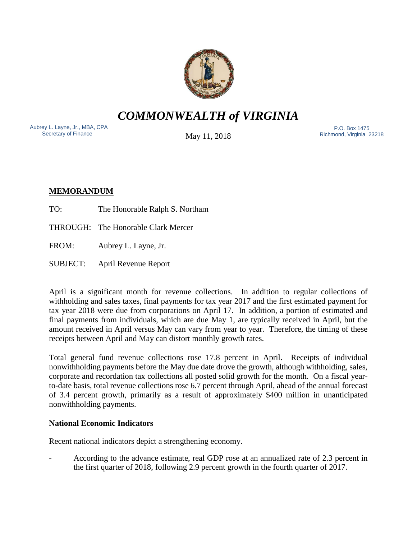

*COMMONWEALTH of VIRGINIA*

Aubrey L. Layne, Jr., MBA, CPA Secretary of Finance

May 11, 2018

 P.O. Box 1475 Richmond, Virginia 23218

# **MEMORANDUM**

TO: The Honorable Ralph S. Northam

THROUGH: The Honorable Clark Mercer

FROM: Aubrey L. Layne, Jr.

SUBJECT: April Revenue Report

April is a significant month for revenue collections. In addition to regular collections of withholding and sales taxes, final payments for tax year 2017 and the first estimated payment for tax year 2018 were due from corporations on April 17. In addition, a portion of estimated and final payments from individuals, which are due May 1, are typically received in April, but the amount received in April versus May can vary from year to year. Therefore, the timing of these receipts between April and May can distort monthly growth rates.

Total general fund revenue collections rose 17.8 percent in April. Receipts of individual nonwithholding payments before the May due date drove the growth, although withholding, sales, corporate and recordation tax collections all posted solid growth for the month. On a fiscal yearto-date basis, total revenue collections rose 6.7 percent through April, ahead of the annual forecast of 3.4 percent growth, primarily as a result of approximately \$400 million in unanticipated nonwithholding payments.

# **National Economic Indicators**

Recent national indicators depict a strengthening economy.

- According to the advance estimate, real GDP rose at an annualized rate of 2.3 percent in the first quarter of 2018, following 2.9 percent growth in the fourth quarter of 2017.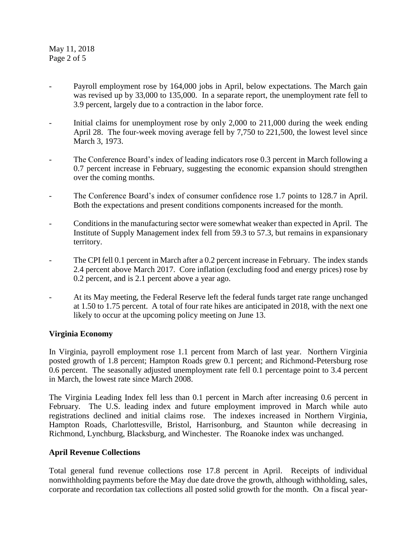May 11, 2018 Page 2 of 5

- Payroll employment rose by 164,000 jobs in April, below expectations. The March gain was revised up by 33,000 to 135,000. In a separate report, the unemployment rate fell to 3.9 percent, largely due to a contraction in the labor force.
- Initial claims for unemployment rose by only 2,000 to 211,000 during the week ending April 28. The four-week moving average fell by 7,750 to 221,500, the lowest level since March 3, 1973.
- The Conference Board's index of leading indicators rose 0.3 percent in March following a 0.7 percent increase in February, suggesting the economic expansion should strengthen over the coming months.
- The Conference Board's index of consumer confidence rose 1.7 points to 128.7 in April. Both the expectations and present conditions components increased for the month.
- Conditions in the manufacturing sector were somewhat weaker than expected in April. The Institute of Supply Management index fell from 59.3 to 57.3, but remains in expansionary territory.
- The CPI fell 0.1 percent in March after a 0.2 percent increase in February. The index stands 2.4 percent above March 2017. Core inflation (excluding food and energy prices) rose by 0.2 percent, and is 2.1 percent above a year ago.
- At its May meeting, the Federal Reserve left the federal funds target rate range unchanged at 1.50 to 1.75 percent. A total of four rate hikes are anticipated in 2018, with the next one likely to occur at the upcoming policy meeting on June 13.

## **Virginia Economy**

In Virginia, payroll employment rose 1.1 percent from March of last year. Northern Virginia posted growth of 1.8 percent; Hampton Roads grew 0.1 percent; and Richmond-Petersburg rose 0.6 percent. The seasonally adjusted unemployment rate fell 0.1 percentage point to 3.4 percent in March, the lowest rate since March 2008.

The Virginia Leading Index fell less than 0.1 percent in March after increasing 0.6 percent in February. The U.S. leading index and future employment improved in March while auto registrations declined and initial claims rose. The indexes increased in Northern Virginia, Hampton Roads, Charlottesville, Bristol, Harrisonburg, and Staunton while decreasing in Richmond, Lynchburg, Blacksburg, and Winchester. The Roanoke index was unchanged.

## **April Revenue Collections**

Total general fund revenue collections rose 17.8 percent in April. Receipts of individual nonwithholding payments before the May due date drove the growth, although withholding, sales, corporate and recordation tax collections all posted solid growth for the month. On a fiscal year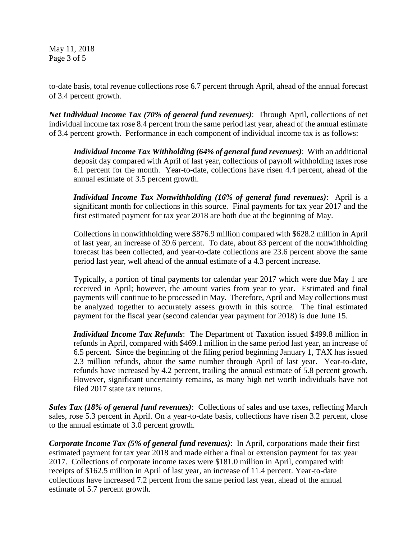May 11, 2018 Page 3 of 5

to-date basis, total revenue collections rose 6.7 percent through April, ahead of the annual forecast of 3.4 percent growth.

*Net Individual Income Tax (70% of general fund revenues)*: Through April, collections of net individual income tax rose 8.4 percent from the same period last year, ahead of the annual estimate of 3.4 percent growth. Performance in each component of individual income tax is as follows:

*Individual Income Tax Withholding (64% of general fund revenues)*: With an additional deposit day compared with April of last year, collections of payroll withholding taxes rose 6.1 percent for the month. Year-to-date, collections have risen 4.4 percent, ahead of the annual estimate of 3.5 percent growth.

*Individual Income Tax Nonwithholding (16% of general fund revenues)*: April is a significant month for collections in this source. Final payments for tax year 2017 and the first estimated payment for tax year 2018 are both due at the beginning of May.

Collections in nonwithholding were \$876.9 million compared with \$628.2 million in April of last year, an increase of 39.6 percent. To date, about 83 percent of the nonwithholding forecast has been collected, and year-to-date collections are 23.6 percent above the same period last year, well ahead of the annual estimate of a 4.3 percent increase.

Typically, a portion of final payments for calendar year 2017 which were due May 1 are received in April; however, the amount varies from year to year. Estimated and final payments will continue to be processed in May. Therefore, April and May collections must be analyzed together to accurately assess growth in this source. The final estimated payment for the fiscal year (second calendar year payment for 2018) is due June 15.

*Individual Income Tax Refunds*: The Department of Taxation issued \$499.8 million in refunds in April, compared with \$469.1 million in the same period last year, an increase of 6.5 percent. Since the beginning of the filing period beginning January 1, TAX has issued 2.3 million refunds, about the same number through April of last year. Year-to-date, refunds have increased by 4.2 percent, trailing the annual estimate of 5.8 percent growth. However, significant uncertainty remains, as many high net worth individuals have not filed 2017 state tax returns.

*Sales Tax (18% of general fund revenues)*: Collections of sales and use taxes, reflecting March sales, rose 5.3 percent in April. On a year-to-date basis, collections have risen 3.2 percent, close to the annual estimate of 3.0 percent growth.

*Corporate Income Tax (5% of general fund revenues)*: In April, corporations made their first estimated payment for tax year 2018 and made either a final or extension payment for tax year 2017. Collections of corporate income taxes were \$181.0 million in April, compared with receipts of \$162.5 million in April of last year, an increase of 11.4 percent. Year-to-date collections have increased 7.2 percent from the same period last year, ahead of the annual estimate of 5.7 percent growth.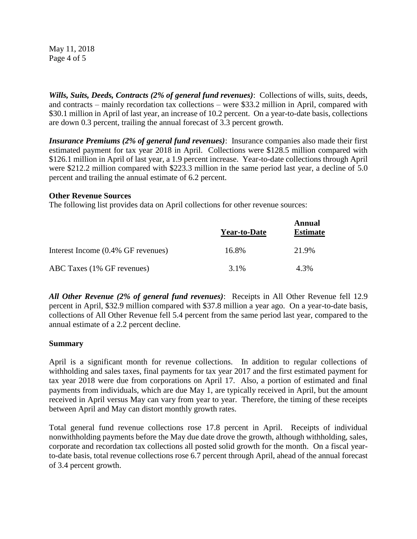May 11, 2018 Page 4 of 5

*Wills, Suits, Deeds, Contracts (2% of general fund revenues)*: Collections of wills, suits, deeds, and contracts – mainly recordation tax collections – were \$33.2 million in April, compared with \$30.1 million in April of last year, an increase of 10.2 percent. On a year-to-date basis, collections are down 0.3 percent, trailing the annual forecast of 3.3 percent growth.

*Insurance Premiums (2% of general fund revenues)*: Insurance companies also made their first estimated payment for tax year 2018 in April. Collections were \$128.5 million compared with \$126.1 million in April of last year, a 1.9 percent increase. Year-to-date collections through April were \$212.2 million compared with \$223.3 million in the same period last year, a decline of 5.0 percent and trailing the annual estimate of 6.2 percent.

### **Other Revenue Sources**

The following list provides data on April collections for other revenue sources:

|                                    | <b>Year-to-Date</b> | Annual<br><b>Estimate</b> |
|------------------------------------|---------------------|---------------------------|
| Interest Income (0.4% GF revenues) | 16.8%               | 21.9%                     |
| ABC Taxes (1% GF revenues)         | 3.1%                | 4.3%                      |

*All Other Revenue (2% of general fund revenues)*: Receipts in All Other Revenue fell 12.9 percent in April, \$32.9 million compared with \$37.8 million a year ago. On a year-to-date basis, collections of All Other Revenue fell 5.4 percent from the same period last year, compared to the annual estimate of a 2.2 percent decline.

## **Summary**

April is a significant month for revenue collections. In addition to regular collections of withholding and sales taxes, final payments for tax year 2017 and the first estimated payment for tax year 2018 were due from corporations on April 17. Also, a portion of estimated and final payments from individuals, which are due May 1, are typically received in April, but the amount received in April versus May can vary from year to year. Therefore, the timing of these receipts between April and May can distort monthly growth rates.

Total general fund revenue collections rose 17.8 percent in April. Receipts of individual nonwithholding payments before the May due date drove the growth, although withholding, sales, corporate and recordation tax collections all posted solid growth for the month. On a fiscal yearto-date basis, total revenue collections rose 6.7 percent through April, ahead of the annual forecast of 3.4 percent growth.